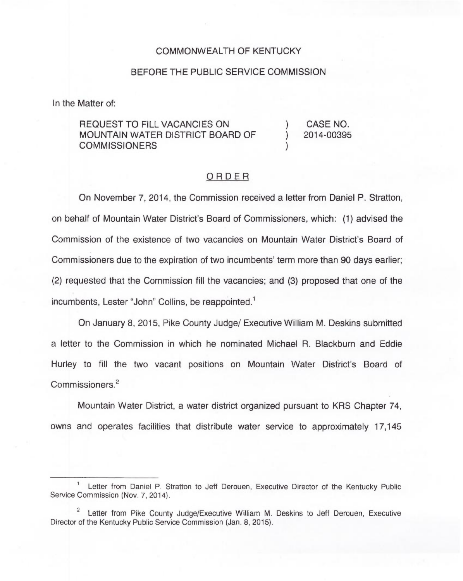## COMMONWEALTH OF KENTUCKY

## BEFORE THE PUBLIC SERVICE COMMISSION

In the Matter of:

## REQUEST TO FILL VACANCIES ON MOUNTAIN WATER DISTRICT BOARD OF **COMMISSIONERS**

) CASE NO. ) 2014-00395

)

## ORDER

On November 7, 2014, the Commission received a letter from Daniel P. Stratton, on behalf of Mountain Water District's Board of Commissioners, which: (1) advised the Commission of the existence of two vacancies on Mountain Water District's Board of Commissioners due to the expiration of two incumbents'erm more than 90 days earlier; (2) requested that the Commission fill the vacancies; and (3) proposed that one of the incumbents, Lester "John" Collins, be reappointed.<sup>1</sup>

January 8, 2015, Pike County Judge/ Executive William M. Deskins submitted a letter to the Commission in which he nominated Michael R. Blackburn and Eddie Hurley to fill the two vacant positions on Mountain Water District's Board of Commissioners.<sup>2</sup>

Water District, a water district organized pursuant to KRS Chapter 74, owns and operates facilities that distribute water service to approximately 17,145

Letter from Daniel P. Stratton to Jeff Derouen, Executive Director of the Kentucky Public Service Commission (Nov. 7, 2014).

 $\overline{c}$ Letter from Pike County Judge/Executive William M. Deskins to Jeff Derouen, Executive Director of the Kentucky Public Service Commission (Jan. 8, 2015).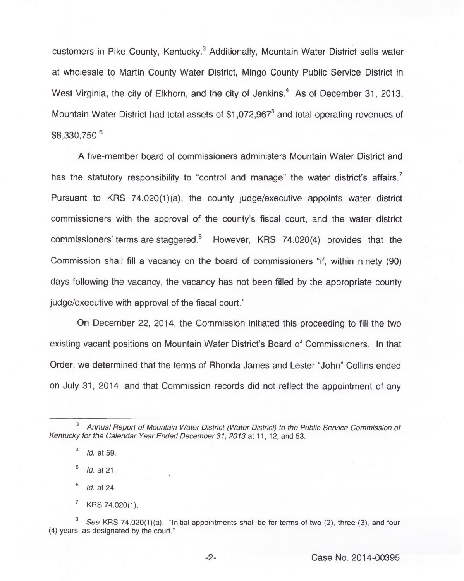customers in Pike County, Kentucky.<sup>3</sup> Additionally, Mountain Water District sells water at wholesale to Martin County Water District, Mingo County Public Service District in West Virginia, the city of Elkhorn, and the city of Jenkins.<sup>4</sup> As of December 31, 2013, Mountain Water District had total assets of  $$1.072.967<sup>5</sup>$  and total operating revenues of \$8,330,750.

A five-member board of commissioners administers Mountain Water District and has the statutory responsibility to "control and manage" the water district's affairs.<sup>7</sup> Pursuant to KRS 74.020(1)(a), the county judge/executive appoints water district commissioners with the approval of the county's fiscal court, and the water district commissioners' terms are staggered. $8$  However, KRS 74.020(4) provides that the Commission shall fill a vacancy on the board of commissioners "if, within ninety (90) days following the vacancy, the vacancy has not been filled by the appropriate county judge/executive with approval of the fiscal court."

On December 22, 2014, the Commission initiated this proceeding to fill the two existing vacant positions on Mountain Water District's Board of Commissioners. In that Order, we determined that the terms of Rhonda James and Lester "John" Collins ended on July 31, 2014, and that Commission records did not reflect the appointment of any

 $\,$  5  $\,$ Id. at 21.

6 Id. at 24.

 $\overline{\phantom{a}}$ KRS 74.020(1).

Annual Report of Mountain Water District (Water District) to the Public Service Commission of Kentucky for the Calendar Year Ended December 31, 2013 at 11, 12, and 53.

 $\overline{a}$ Id. at 59.

See KRS 74.020(1)(a). "Initial appointments shall be for terms of two (2), three (3), and four (4) years, as designated by the court."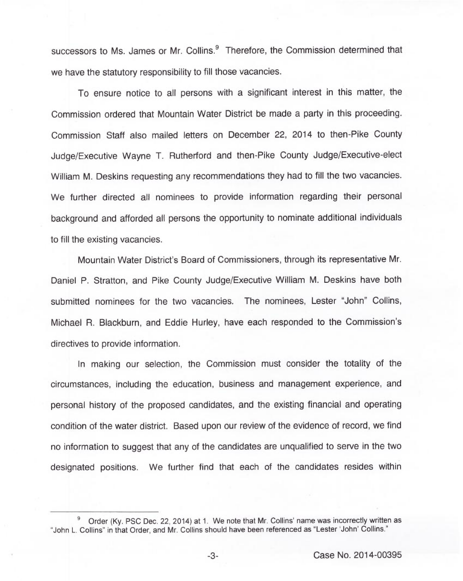successors to Ms. James or Mr. Collins.<sup>9</sup> Therefore, the Commission determined that we have the statutory responsibility to fill those vacancies.

To ensure notice to all persons with a significant interest in this matter, the Commission ordered that Mountain Water District be made a party in this proceeding. Commission Staff also mailed letters on December 22, 2014 to then-Pike County Judge/Executive Wayne T. Rutherford and then-Pike County Judge/Executive-elect William M. Deskins requesting any recommendations they had to fill the two vacancies. We further directed all nominees to provide information regarding their personal background and afforded all persons the opportunity to nominate additional individuals to fill the existing vacancies.

Mountain Water District's Board of Commissioners, through its representative Mr. Daniel P. Stratton, and Pike County Judge/Executive William M. Deskins have both submitted nominees for the two vacancies. The nominees, Lester "John" Collins, Michael R. Blackburn, and Eddie Hurley, have each responded to the Commission's directives to provide information.

In making our selection, the Commission must consider the totality of the circumstances, including the education, business and management experience, and personal history of the proposed candidates, and the existing financial and operating condition of the water district. Based upon our review of the evidence of record, we find no information to suggest that any of the candidates are unqualified to serve in the two designated positions. We further find that each of the candidates resides within

Order (Ky. PSC Dec. 22, 2014) at 1. We note that Mr. Collins' name was incorrectly written as "John L. Collins" in that Order, and Mr. Collins should have been referenced as "Lester 'John' Collins."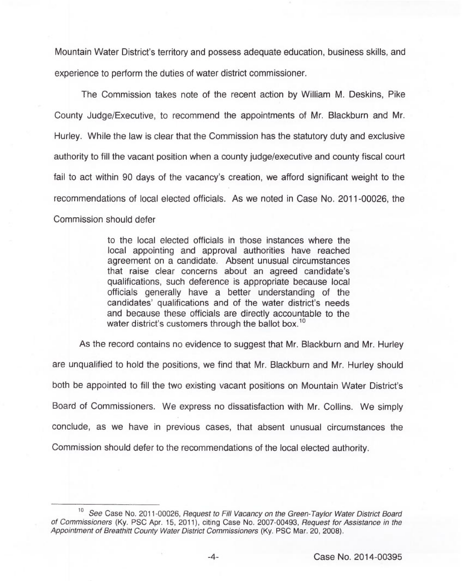Mountain Water District's territory and possess adequate education, business skills, and experience to perform the duties of water district commissioner.

The Commission takes note of the recent action by William M. Deskins, Pike County Judge/Executive, to recommend the appointments of Mr. Blackburn and Mr. Hurley. While the law is clear that the Commission has the statutory duty and exclusive authority to fill the vacant position when a county judge/executive and county fiscal court fail to act within 90 days of the vacancy's creation, we afford significant weight to the recommendations of local elected officials. As we noted in Case No. 2011-00026, the Commission should defer

> to the local elected officials in those instances where the local appointing and approval authorities have reached agreement on a candidate. Absent unusual circumstances that raise clear concerns about an agreed candidate's qualifications, such deference is appropriate because local officials generally have a better understanding of the candidates' qualifications and of the water district's needs and because these officials are directly accountable to the water district's customers through the ballot box.<sup>10</sup>

As the record contains no evidence to suggest that Mr. Blackburn and Mr. Hurley are unqualified to hold the positions, we find that Mr. Blackburn and Mr. Hurley should both be appointed to fill the two existing vacant positions on Mountain Water District's Board of Commissioners. We express no dissatisfaction with Mr. Collins. We simply conclude, as we have in previous cases, that absent unusual circumstances the Commission should defer to the recommendations of the local elected authority.

See Case No. 2011-00026, Request to Fill Vacancy on the Green-Taylor Water District Board of Commissioners (Ky. PSC Apr. 15, 2011), citing Case No. 2007-00493, Request for Assistance in the Appointment of Breathitt County Water District Commissioners (Ky. PSC Mar. 20, 2008).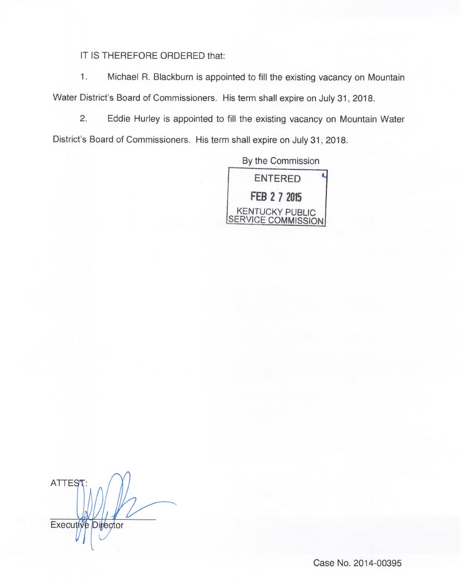IT IS THEREFORE ORDERED that:

 $1.$ Michael R. Blackburn is appointed to fill the existing vacancy on Mountain Water District's Board of Commissioners. His term shall expire on July 31, 2018.

2. Eddie Hurley is appointed to fill the existing vacancy on Mountain Water District's Board of Commissioners. His term shall expire on July 31, 2018.

> By the Commission ENTERED **FEB 2 7 2015** KENTUCKY PUBLIC SERVICE COMMISSION

**ATTEST** Executive Director

Case No. 2014-00395